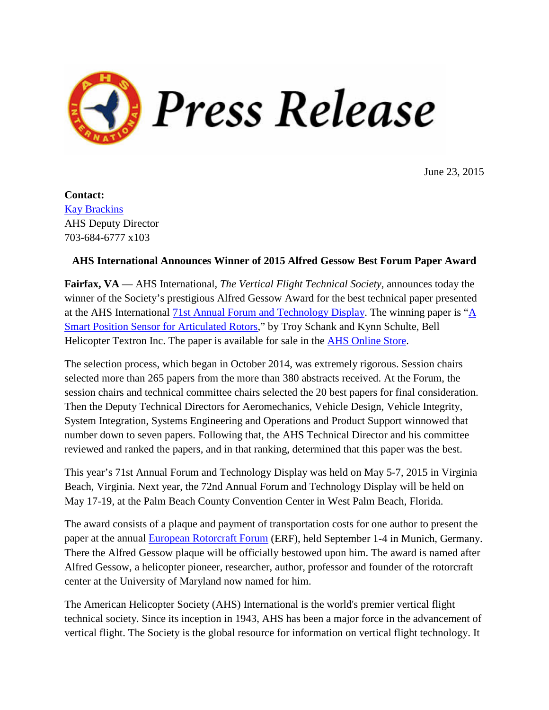

June 23, 2015

**Contact:** Kay [Brackins](mailto:pr@vtol.org) AHS Deputy Director 703-684-6777 x103

## **AHS International Announces Winner of 2015 Alfred Gessow Best Forum Paper Award**

**Fairfax, VA** — AHS International, *The Vertical Flight Technical Society*, announces today the winner of the Society's prestigious Alfred Gessow Award for the best technical paper presented at the AHS International 71st Annual Forum and [Technology](http://vtol.org/forum) Display. The winning paper is ["A](https://vtol.org/store/product/a-smart-position-sensor-for-articulated-rotors-10190.cfm) Smart Position Sensor for [Articulated](https://vtol.org/store/product/a-smart-position-sensor-for-articulated-rotors-10190.cfm) Rotors," by Troy Schank and Kynn Schulte, Bell Helicopter Textron Inc. The paper is available for sale in the AHS [Online](https://vtol.org/store/product/a-smart-position-sensor-for-articulated-rotors-10190.cfm) Store.

The selection process, which began in October 2014, was extremely rigorous. Session chairs selected more than 265 papers from the more than 380 abstracts received. At the Forum, the session chairs and technical committee chairs selected the 20 best papers for final consideration. Then the Deputy Technical Directors for Aeromechanics, Vehicle Design, Vehicle Integrity, System Integration, Systems Engineering and Operations and Product Support winnowed that number down to seven papers. Following that, the AHS Technical Director and his committee reviewed and ranked the papers, and in that ranking, determined that this paper was the best.

This year's 71st Annual Forum and Technology Display was held on May 5-7, 2015 in Virginia Beach, Virginia. Next year, the 72nd Annual Forum and Technology Display will be held on May 17-19, at the Palm Beach County Convention Center in West Palm Beach, Florida.

The award consists of a plaque and payment of transportation costs for one author to present the paper at the annual **European [Rotorcraft](http://erf2015.dglr.de/) Forum** (ERF), held September 1-4 in Munich, Germany. There the Alfred Gessow plaque will be officially bestowed upon him. The award is named after Alfred Gessow, a helicopter pioneer, researcher, author, professor and founder of the rotorcraft center at the University of Maryland now named for him.

The American Helicopter Society (AHS) International is the world's premier vertical flight technical society. Since its inception in 1943, AHS has been a major force in the advancement of vertical flight. The Society is the global resource for information on vertical flight technology. It